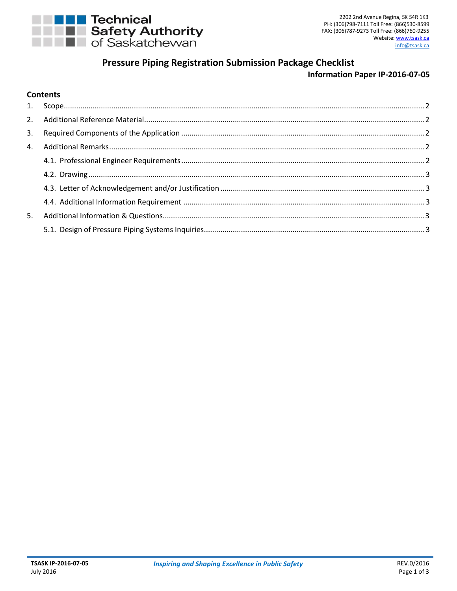

# **Pressure Piping Registration Submission Package Checklist**

# **Information Paper IP-2016-07-05**

#### **Contents**

| 5. |  |
|----|--|
|    |  |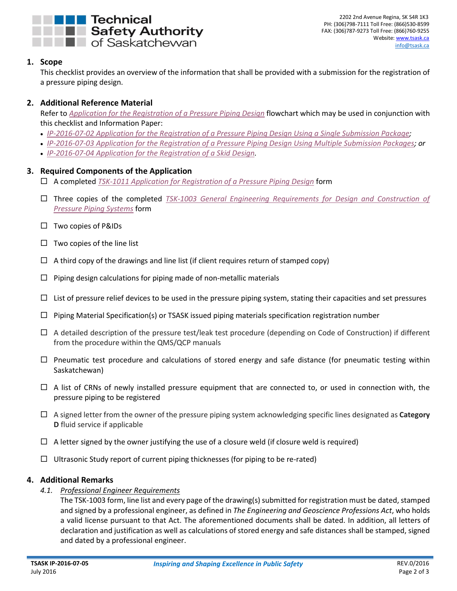

#### <span id="page-1-0"></span>**1. Scope**

This checklist provides an overview of the information that shall be provided with a submission for the registration of a pressure piping design.

# <span id="page-1-1"></span>**2. Additional Reference Material**

Refer to *[Application for the Registration of a Pressure Piping Design](http://www.tsask.ca/public/pdf/2016%20Pressure%20Piping/Flowchart_-_Application_for_the_Reg_of_a_PP_Design.pdf)* flowchart which may be used in conjunction with this checklist and Information Paper[:](http://www.tsask.ca/public/pdf/2016%20Pressure%20Piping/IP-2016-07-02_-_Application_for_the_Registration_of_a_Single_Submission_Pressure_Piping_Design.pdf)

- *[IP-2016-07-02 Application for the Registration of a Pressure Piping Design Using a Single Submission Package;](http://www.tsask.ca/public/pdf/2016%20Pressure%20Piping/IP-2016-07-02_-_Application_for_the_Registration_of_a_Single_Submission_Pressure_Piping_Design.pdf)*
- *[IP-2016-07-03 Application for the Registration of a Pressure Piping Design Using Multiple Submission Packages;](http://www.tsask.ca/public/pdf/2016%20Pressure%20Piping/IP-2016-07-03_-_Application_for_the_Registration_of_a_Pressure_Piping_Design_with_Mult_Subs.pdf) or*
- *[IP-2016-07-04 Application for the Registration of a Skid Design.](http://www.tsask.ca/public/pdf/2016%20Pressure%20Piping/IP-2016-07-04_-_Application_for_the_Registration_of_a_Skid_Design.pdf)*

#### <span id="page-1-2"></span>**3. Required Components of the Application**

- A completed *[TSK-1011 Application for Registration of a Pressure Piping Design](http://www.tsask.ca/public/pdf/2016%20Pressure%20Piping/TSK-1011_-_Application_for_the_Registration_of_a_Pressure_Piping_Design_Form.pdf)* form
- Three copies of the completed *[TSK-1003 General Engineering Requirements for Design and Construction of](http://www.tsask.ca/public/pdf/2016%20Pressure%20Piping/TSK-1003_-_General_Engineering_Requirements_for_Pressure_Piping.pdf)  [Pressure Piping Systems](http://www.tsask.ca/public/pdf/2016%20Pressure%20Piping/TSK-1003_-_General_Engineering_Requirements_for_Pressure_Piping.pdf)* form
- Two copies of P&IDs
- $\Box$  Two copies of the line list
- $\Box$  A third copy of the drawings and line list (if client requires return of stamped copy)
- $\Box$  Piping design calculations for piping made of non-metallic materials
- $\Box$  List of pressure relief devices to be used in the pressure piping system, stating their capacities and set pressures
- $\Box$  Piping Material Specification(s) or TSASK issued piping materials specification registration number
- $\Box$  A detailed description of the pressure test/leak test procedure (depending on Code of Construction) if different from the procedure within the QMS/QCP manuals
- $\Box$  Pneumatic test procedure and calculations of stored energy and safe distance (for pneumatic testing within Saskatchewan)
- $\Box$  A list of CRNs of newly installed pressure equipment that are connected to, or used in connection with, the pressure piping to be registered
- A signed letter from the owner of the pressure piping system acknowledging specific lines designated as **Category D** fluid service if applicable
- $\Box$  A letter signed by the owner justifying the use of a closure weld (if closure weld is required)
- $\Box$  Ultrasonic Study report of current piping thicknesses (for piping to be re-rated)

#### <span id="page-1-4"></span><span id="page-1-3"></span>**4. Additional Remarks**

*4.1. Professional Engineer Requirements*

The TSK-1003 form, line list and every page of the drawing(s) submitted for registration must be dated, stamped and signed by a professional engineer, as defined in *The Engineering and Geoscience Professions Act*, who holds a valid license pursuant to that Act. The aforementioned documents shall be dated. In addition, all letters of declaration and justification as well as calculations of stored energy and safe distances shall be stamped, signed and dated by a professional engineer.